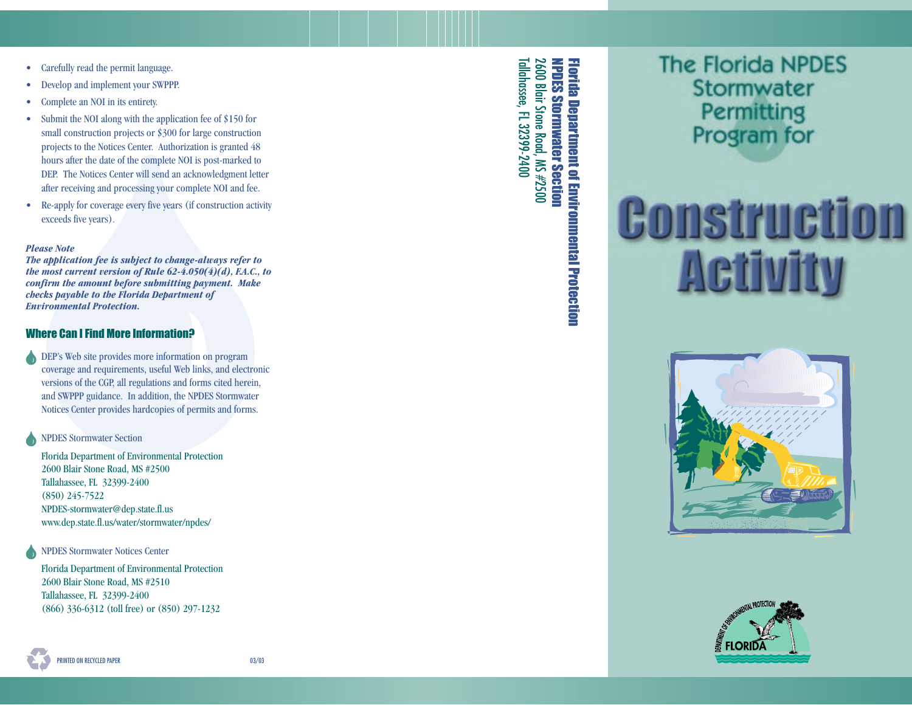- Carefully read the permit language.
- Develop and implement your SWPPP.
- Complete an NOI in its entirety.
- Submit the NOI along with the application fee of \$150 for small construction projects or \$300 for large construction projects to the Notices Center. Authorization is granted 48 hours after the date of the complete NOI is post-marked to DEP. The Notices Center will send an acknowledgment letter after receiving and processing your complete NOI and fee.
- Re-apply for coverage every five years (if construction activity exceeds five years).

#### *Please Note*

*The application fee is subject to change-always refer to the most current version of Rule 62-4.050(4)(d), F.A.C., to confirm the amount before submitting payment. Make checks payable to the Florida Department of Environmental Protection.*

#### Where Can I Find More Information?

DEP's Web site provides more information on program coverage and requirements, useful Web links, and electronic versions of the CGP, all regulations and forms cited herein, and SWPPP guidance. In addition, the NPDES Stormwater Notices Center provides hardcopies of permits and forms.

NPDES Stormwater Section

Florida Department of Environmental Protection 2600 Blair Stone Road, MS #2500 Tallahassee, FL 32399-2400 (850) 245-7522 NPDES-stormwater@dep.state.fl.us www.dep.state.fl.us/water/stormwater/npdes/

NPDES Stormwater Notices Center

Florida Department of Environmental Protection 2600 Blair Stone Road, MS #2510 Tallahassee, FL 32399-2400 (866) 336-6312 (toll free) or (850) 297-1232

2600 Blair Stone Road, MS #2500<br>Tallahassee, FL 32399-2400 Tallahassee, FL 32399-2400 **NPDES Stormwater Section Florida Department of Environmental Protection** 2600 Blair Stone Road, MS #2500 NPDES Stormwater Section Florida Department of Environmental Protection

# **The Florida NPDES** Stormwater **Permitting** Program for